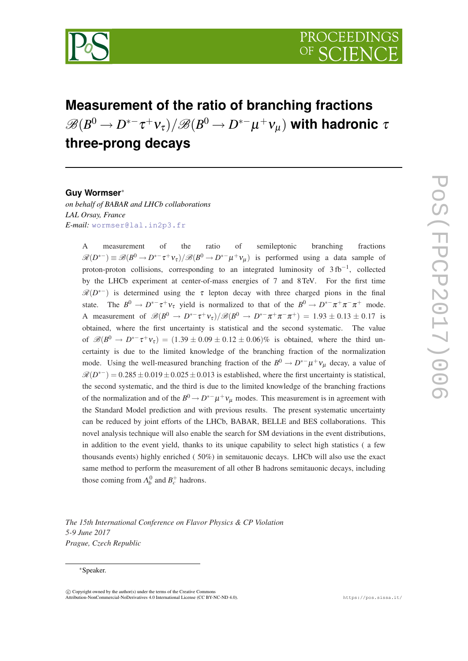

# **Measurement of the ratio of branching fractions**  $\mathscr{B}(B^0 \to D^{*-}\tau^+\nu_\tau)/\mathscr{B}(B^0 \to D^{*-}\mu^+\nu_\mu)$  with hadronic  $\tau$ **three-prong decays**

# **Guy Wormser**<sup>∗</sup>

*on behalf of BABAR and LHCb collaborations LAL Orsay, France E-mail:* [wormser@lal.in2p3.fr](mailto:wormser@lal.in2p3.fr)

> A measurement of the ratio of semileptonic branching fractions  $\mathscr{R}(D^{*-}) \equiv \mathscr{B}(B^0 \to D^{*-}\tau^+\nu_{\tau})/\mathscr{B}(B^0 \to D^{*-}\mu^+\nu_{\mu})$  is performed using a data sample of proton-proton collisions, corresponding to an integrated luminosity of 3fb<sup>-1</sup>, collected by the LHCb experiment at center-of-mass energies of 7 and 8TeV. For the first time  $\mathscr{R}(D^{*-})$  is determined using the  $\tau$  lepton decay with three charged pions in the final state. The  $B^0 \to D^{*-} \tau^+ \nu_{\tau}$  yield is normalized to that of the  $B^0 \to D^{*-} \pi^+ \pi^- \pi^+$  mode. A measurement of  $\mathscr{B}(B^0 \to D^{*-}\tau^+\nu_{\tau})/\mathscr{B}(B^0 \to D^{*-}\pi^+\pi^-\pi^+) = 1.93 \pm 0.13 \pm 0.17$  is obtained, where the first uncertainty is statistical and the second systematic. The value of  $\mathscr{B}(B^0 \to D^{*-}\tau^+\nu_{\tau}) = (1.39 \pm 0.09 \pm 0.12 \pm 0.06)\%$  is obtained, where the third uncertainty is due to the limited knowledge of the branching fraction of the normalization mode. Using the well-measured branching fraction of the  $B^0 \to D^{*-} \mu^+ \nu_\mu$  decay, a value of  $\mathcal{R}(D^{*-}) = 0.285 \pm 0.019 \pm 0.025 \pm 0.013$  is established, where the first uncertainty is statistical, the second systematic, and the third is due to the limited knowledge of the branching fractions of the normalization and of the  $B^0 \to D^{*-} \mu^+ \nu_\mu$  modes. This measurement is in agreement with the Standard Model prediction and with previous results. The present systematic uncertainty can be reduced by joint efforts of the LHCb, BABAR, BELLE and BES collaborations. This novel analysis technique will also enable the search for SM deviations in the event distributions, in addition to the event yield, thanks to its unique capability to select high statistics ( a few thousands events) highly enriched ( 50%) in semitauonic decays. LHCb will also use the exact same method to perform the measurement of all other B hadrons semitauonic decays, including those coming from  $\Lambda_b^0$  and  $B_c^+$  hadrons.

*The 15th International Conference on Flavor Physics & CP Violation 5-9 June 2017 Prague, Czech Republic*

#### <sup>∗</sup>Speaker.

 $(C)$  Copyright owned by the author(s) under the terms of the Creative Common Attribution-NonCommercial-NoDerivatives 4.0 International License (CC BY-NC-ND 4.0). https://pos.sissa.it/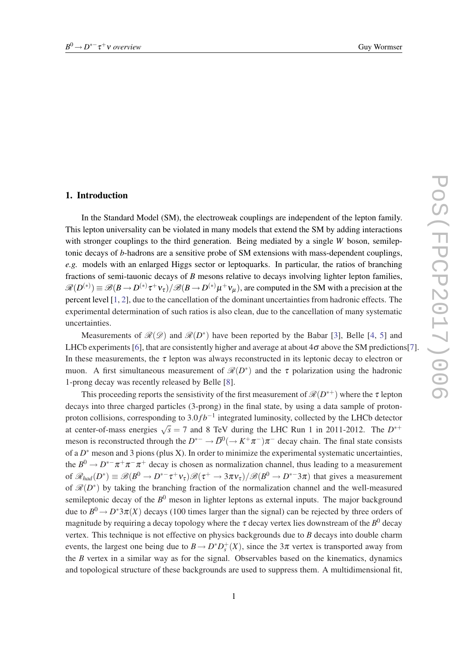# 1. Introduction

In the Standard Model (SM), the electroweak couplings are independent of the lepton family. This lepton universality can be violated in many models that extend the SM by adding interactions with stronger couplings to the third generation. Being mediated by a single *W* boson, semileptonic decays of *b*-hadrons are a sensitive probe of SM extensions with mass-dependent couplings, *e.g.* models with an enlarged Higgs sector or leptoquarks. In particular, the ratios of branching fractions of semi-tauonic decays of *B* mesons relative to decays involving lighter lepton families,  $\mathscr{R}(D^{(*)}) \equiv \mathscr{B}(B \to D^{(*)}\tau^+\nu_{\tau})/\mathscr{B}(B \to D^{(*)}\mu^+\nu_{\mu})$ , are computed in the SM with a precision at the percent level [\[1,](#page-11-0) [2](#page-11-0)], due to the cancellation of the dominant uncertainties from hadronic effects. The experimental determination of such ratios is also clean, due to the cancellation of many systematic uncertainties.

Measurements of  $\mathcal{R}(\mathcal{D})$  and  $\mathcal{R}(D^*)$  have been reported by the Babar [[3](#page-11-0)], Belle [\[4,](#page-11-0) [5\]](#page-11-0) and LHCb experiments [[6](#page-11-0)], that are consistently higher and average at about  $4\sigma$  above the SM predictions [[7](#page-11-0)]. In these measurements, the  $\tau$  lepton was always reconstructed in its leptonic decay to electron or muon. A first simultaneous measurement of  $\mathcal{R}(D^*)$  and the  $\tau$  polarization using the hadronic 1-prong decay was recently released by Belle [[8](#page-11-0)].

This proceeding reports the sensistivity of the first measurement of  $\mathscr{R}(D^{*+})$  where the  $\tau$  lepton decays into three charged particles (3-prong) in the final state, by using a data sample of protonproton collisions, corresponding to 3.0*fb*<sup>−1</sup> integrated luminosity, collected by the LHCb detector at center-of-mass energies  $\sqrt{s} = 7$  and 8 TeV during the LHC Run 1 in 2011-2012. The  $D^{*+}$ meson is reconstructed through the  $D^{*-} \to \overline{D}^0(\to K^+\pi^-)\pi^-$  decay chain. The final state consists of a  $D^*$  meson and 3 pions (plus X). In order to minimize the experimental systematic uncertainties, the  $B^0 \to D^{*-}\pi^+\pi^-\pi^+$  decay is chosen as normalization channel, thus leading to a measurement of  $\mathscr{R}_{had}(D^*) \equiv \mathscr{B}(B^0 \to D^{*-}\tau^+\nu_{\tau})\mathscr{B}(\tau^+ \to 3\pi\nu_{\tau})/\mathscr{B}(B^0 \to D^{*-}3\pi)$  that gives a measurement of  $\mathcal{R}(D^*)$  by taking the branching fraction of the normalization channel and the well-measured semileptonic decay of the  $B^0$  meson in lighter leptons as external inputs. The major background due to  $B^0 \to D^*3\pi(X)$  decays (100 times larger than the signal) can be rejected by three orders of magnitude by requiring a decay topology where the  $\tau$  decay vertex lies downstream of the  $B^0$  decay vertex. This technique is not effective on physics backgrounds due to *B* decays into double charm events, the largest one being due to  $B \to D^* D_s^+(X)$ , since the  $3\pi$  vertex is transported away from the *B* vertex in a similar way as for the signal. Observables based on the kinematics, dynamics and topological structure of these backgrounds are used to suppress them. A multidimensional fit,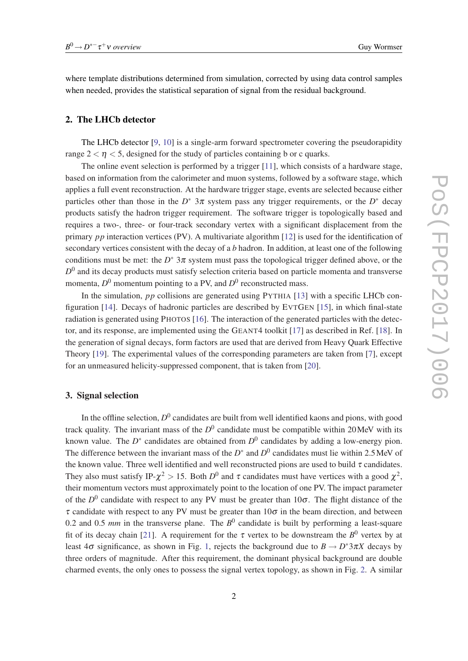where template distributions determined from simulation, corrected by using data control samples when needed, provides the statistical separation of signal from the residual background.

## 2. The LHCb detector

The LHCb detector [[9](#page-11-0), [10](#page-12-0)] is a single-arm forward spectrometer covering the pseudorapidity range  $2 < \eta < 5$ , designed for the study of particles containing b or c quarks.

The online event selection is performed by a trigger [[11\]](#page-12-0), which consists of a hardware stage, based on information from the calorimeter and muon systems, followed by a software stage, which applies a full event reconstruction. At the hardware trigger stage, events are selected because either particles other than those in the  $D^*$  3 $\pi$  system pass any trigger requirements, or the  $D^*$  decay products satisfy the hadron trigger requirement. The software trigger is topologically based and requires a two-, three- or four-track secondary vertex with a significant displacement from the primary *pp* interaction vertices (PV). A multivariate algorithm [[12\]](#page-12-0) is used for the identification of secondary vertices consistent with the decay of a *b* hadron. In addition, at least one of the following conditions must be met: the  $D^*$  3 $\pi$  system must pass the topological trigger defined above, or the  $D<sup>0</sup>$  and its decay products must satisfy selection criteria based on particle momenta and transverse momenta,  $D^0$  momentum pointing to a PV, and  $D^0$  reconstructed mass.

In the simulation, *pp* collisions are generated using PYTHIA [\[13](#page-12-0)] with a specific LHCb configuration [[14](#page-12-0)]. Decays of hadronic particles are described by EVTGEN [[15\]](#page-12-0), in which final-state radiation is generated using PHOTOS [\[16](#page-12-0)]. The interaction of the generated particles with the detector, and its response, are implemented using the GEANT4 toolkit [[17\]](#page-12-0) as described in Ref. [[18\]](#page-12-0). In the generation of signal decays, form factors are used that are derived from Heavy Quark Effective Theory [\[19](#page-12-0)]. The experimental values of the corresponding parameters are taken from [[7](#page-11-0)], except for an unmeasured helicity-suppressed component, that is taken from [\[20\]](#page-12-0).

## 3. Signal selection

In the offline selection,  $D^0$  candidates are built from well identified kaons and pions, with good track quality. The invariant mass of the  $D^0$  candidate must be compatible within 20 MeV with its known value. The  $D^*$  candidates are obtained from  $D^0$  candidates by adding a low-energy pion. The difference between the invariant mass of the  $D^*$  and  $D^0$  candidates must lie within 2.5 MeV of the known value. Three well identified and well reconstructed pions are used to build  $\tau$  candidates. They also must satisfy IP- $\chi^2 > 15$ . Both  $D^0$  and  $\tau$  candidates must have vertices with a good  $\chi^2$ , their momentum vectors must approximately point to the location of one PV. The impact parameter of the  $D^0$  candidate with respect to any PV must be greater than  $10\sigma$ . The flight distance of the  $\tau$  candidate with respect to any PV must be greater than  $10\sigma$  in the beam direction, and between 0.2 and 0.5  $mm$  in the transverse plane. The  $B^0$  candidate is built by performing a least-square fit of its decay chain [\[21\]](#page-12-0). A requirement for the  $\tau$  vertex to be downstream the  $B^0$  vertex by at least  $4\sigma$  significance, as shown in Fig. [1,](#page-3-0) rejects the background due to  $B \to D^* 3\pi X$  decays by three orders of magnitude. After this requirement, the dominant physical background are double charmed events, the only ones to possess the signal vertex topology, as shown in Fig. [2](#page-3-0). A similar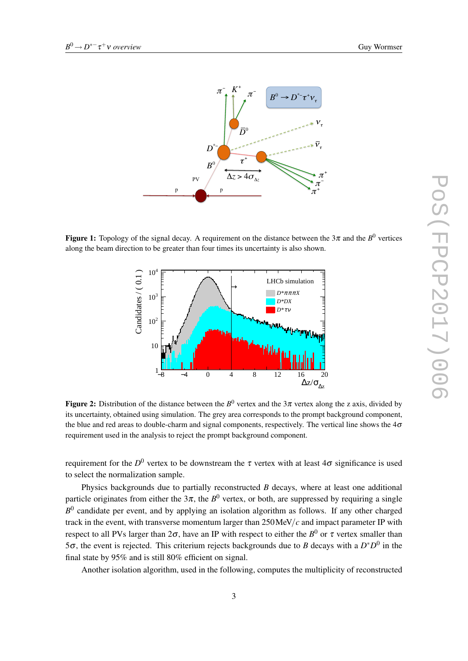<span id="page-3-0"></span>

Figure 1: Topology of the signal decay. A requirement on the distance between the  $3\pi$  and the  $B^0$  vertices along the beam direction to be greater than four times its uncertainty is also shown.



Figure 2: Distribution of the distance between the  $B^0$  vertex and the  $3\pi$  vertex along the z axis, divided by its uncertainty, obtained using simulation. The grey area corresponds to the prompt background component, the blue and red areas to double-charm and signal components, respectively. The vertical line shows the  $4\sigma$ requirement used in the analysis to reject the prompt background component.

requirement for the  $D^0$  vertex to be downstream the  $\tau$  vertex with at least 4 $\sigma$  significance is used to select the normalization sample.

Physics backgrounds due to partially reconstructed *B* decays, where at least one additional particle originates from either the  $3\pi$ , the  $B^0$  vertex, or both, are suppressed by requiring a single B<sup>0</sup> candidate per event, and by applying an isolation algorithm as follows. If any other charged track in the event, with transverse momentum larger than  $250 \text{ MeV}/c$  and impact parameter IP with respect to all PVs larger than 2 $\sigma$ , have an IP with respect to either the  $B^0$  or  $\tau$  vertex smaller than 5 $\sigma$ , the event is rejected. This criterium rejects backgrounds due to *B* decays with a  $D^*D^0$  in the final state by 95% and is still 80% efficient on signal.

Another isolation algorithm, used in the following, computes the multiplicity of reconstructed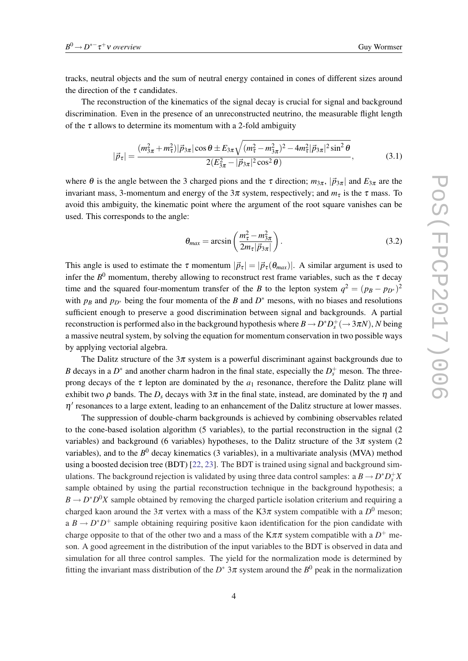tracks, neutral objects and the sum of neutral energy contained in cones of different sizes around the direction of the  $\tau$  candidates.

The reconstruction of the kinematics of the signal decay is crucial for signal and background discrimination. Even in the presence of an unreconstructed neutrino, the measurable flight length of the  $\tau$  allows to determine its momentum with a 2-fold ambiguity

$$
|\vec{p}_{\tau}| = \frac{(m_{3\pi}^2 + m_{\tau}^2)|\vec{p}_{3\pi}| \cos\theta \pm E_{3\pi}\sqrt{(m_{\tau}^2 - m_{3\pi}^2)^2 - 4m_{\tau}^2|\vec{p}_{3\pi}|^2\sin^2\theta}}{2(E_{3\pi}^2 - |\vec{p}_{3\pi}|^2\cos^2\theta)},
$$
(3.1)

where  $\theta$  is the angle between the 3 charged pions and the  $\tau$  direction;  $m_{3\pi}$ ,  $|\vec{p}_{3\pi}|$  and  $E_{3\pi}$  are the invariant mass, 3-momentum and energy of the  $3\pi$  system, respectively; and  $m<sub>\tau</sub>$  is the  $\tau$  mass. To avoid this ambiguity, the kinematic point where the argument of the root square vanishes can be used. This corresponds to the angle:

$$
\theta_{max} = \arcsin\left(\frac{m_{\tau}^2 - m_{3\pi}^2}{2m_{\tau}|\vec{p}_{3\pi}|}\right). \tag{3.2}
$$

This angle is used to estimate the  $\tau$  momentum  $|\vec{p}_{\tau}| = |\vec{p}_{\tau}(\theta_{max})|$ . A similar argument is used to infer the  $B^0$  momentum, thereby allowing to reconstruct rest frame variables, such as the  $\tau$  decay time and the squared four-momentum transfer of the *B* to the lepton system  $q^2 = (p_B - p_{D^*})^2$ with  $p_B$  and  $p_{D^*}$  being the four momenta of the *B* and  $D^*$  mesons, with no biases and resolutions sufficient enough to preserve a good discrimination between signal and backgrounds. A partial reconstruction is performed also in the background hypothesis where  $B \to D^* D_s^+ (\to 3\pi N)$ , *N* being a massive neutral system, by solving the equation for momentum conservation in two possible ways by applying vectorial algebra.

The Dalitz structure of the  $3\pi$  system is a powerful discriminant against backgrounds due to *B* decays in a  $D^*$  and another charm hadron in the final state, especially the  $D_s^+$  meson. The threeprong decays of the  $\tau$  lepton are dominated by the  $a_1$  resonance, therefore the Dalitz plane will exhibit two  $\rho$  bands. The  $D_s$  decays with  $3\pi$  in the final state, instead, are dominated by the  $\eta$  and  $\eta'$  resonances to a large extent, leading to an enhancement of the Dalitz structure at lower masses.

The suppression of double-charm backgrounds is achieved by combining observables related to the cone-based isolation algorithm (5 variables), to the partial reconstruction in the signal (2 variables) and background (6 variables) hypotheses, to the Dalitz structure of the  $3\pi$  system (2 variables), and to the *B* <sup>0</sup> decay kinematics (3 variables), in a multivariate analysis (MVA) method using a boosted decision tree (BDT) [[22,](#page-12-0) [23\]](#page-12-0). The BDT is trained using signal and background simulations. The background rejection is validated by using three data control samples: a  $B \to D^* D_s^+ X$ sample obtained by using the partial reconstruction technique in the background hypothesis; a  $B \to D^*D^0X$  sample obtained by removing the charged particle isolation criterium and requiring a charged kaon around the 3 $\pi$  vertex with a mass of the K3 $\pi$  system compatible with a  $D^0$  meson; a  $B \to D^*D^+$  sample obtaining requiring positive kaon identification for the pion candidate with charge opposite to that of the other two and a mass of the  $K\pi\pi$  system compatible with a  $D^+$  meson. A good agreement in the distribution of the input variables to the BDT is observed in data and simulation for all three control samples. The yield for the normalization mode is determined by fitting the invariant mass distribution of the  $D^*$  3 $\pi$  system around the  $B^0$  peak in the normalization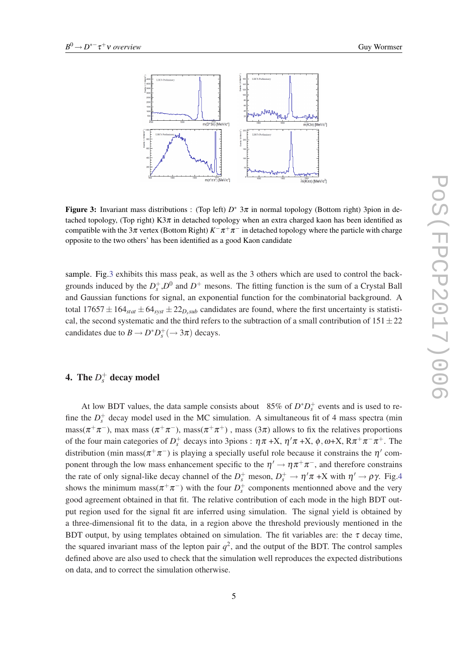

Figure 3: Invariant mass distributions : (Top left)  $D^*$  3 $\pi$  in normal topology (Bottom right) 3pion in detached topology, (Top right) K $3\pi$  in detached topology when an extra charged kaon has been identified as compatible with the 3 $\pi$  vertex (Bottom Right)  $K^-\pi^+\pi^-$  in detached topology where the particle with charge opposite to the two others' has been identified as a good Kaon candidate

sample. Fig.3 exhibits this mass peak, as well as the 3 others which are used to control the backgrounds induced by the  $D_s^+$ ,  $D^0$  and  $D^+$  mesons. The fitting function is the sum of a Crystal Ball and Gaussian functions for signal, an exponential function for the combinatorial background. A total  $17657 \pm 164_{stat} \pm 64_{syst} \pm 22_{D,sub}$  candidates are found, where the first uncertainty is statistical, the second systematic and the third refers to the subtraction of a small contribution of  $151 \pm 22$ candidates due to  $B \to D^* D_s^+ (\to 3\pi)$  decays.

# 4. The  $D_s^+$  decay model

At low BDT values, the data sample consists about 85% of  $D^*D_s^+$  events and is used to refine the  $D_s^+$  decay model used in the MC simulation. A simultaneous fit of 4 mass spectra (min  $\text{mass}(\pi^+\pi^-)$ , max mass  $(\pi^+\pi^-)$ , mass $(\pi^+\pi^+)$ , mass  $(3\pi)$  allows to fix the relatives proportions of the four main categories of  $D_s^+$  decays into 3pions :  $\eta \pi + X$ ,  $\eta' \pi + X$ ,  $\phi$ ,  $\omega + X$ ,  $R\pi^+ \pi^- \pi^+$ . The distribution (min mass( $\pi^+\pi^-$ ) is playing a specially useful role because it constrains the  $\eta'$  component through the low mass enhancement specific to the  $\eta' \to \eta \pi^+ \pi^-$ , and therefore constrains the rate of only signal-like decay channel of the  $D_s^+$  meson,  $D_s^+ \to \eta' \pi + X$  with  $\eta' \to \rho \gamma$ . Fig[.4](#page-6-0) shows the minimum mass( $\pi^+\pi^-$ ) with the four  $D_s^+$  components mentionned above and the very good agreement obtained in that fit. The relative contribution of each mode in the high BDT output region used for the signal fit are inferred using simulation. The signal yield is obtained by a three-dimensional fit to the data, in a region above the threshold previously mentioned in the BDT output, by using templates obtained on simulation. The fit variables are: the  $\tau$  decay time, the squared invariant mass of the lepton pair  $q^2$ , and the output of the BDT. The control samples defined above are also used to check that the simulation well reproduces the expected distributions on data, and to correct the simulation otherwise.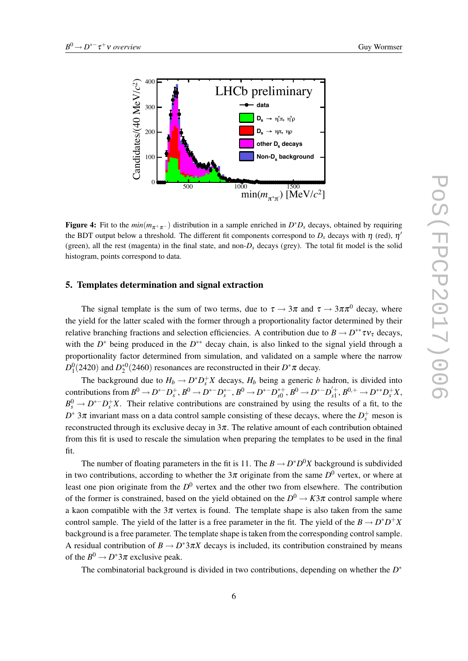<span id="page-6-0"></span>

Figure 4: Fit to the  $min(m_{\pi^+\pi^-})$  distribution in a sample enriched in  $D^*D_s$  decays, obtained by requiring the BDT output below a threshold. The different fit components correspond to  $D_s$  decays with  $\eta$  (red),  $\eta'$ (green), all the rest (magenta) in the final state, and non- $D<sub>s</sub>$  decays (grey). The total fit model is the solid histogram, points correspond to data.

#### 5. Templates determination and signal extraction

The signal template is the sum of two terms, due to  $\tau \to 3\pi$  and  $\tau \to 3\pi\pi^0$  decay, where the yield for the latter scaled with the former through a proportionality factor determined by their relative branching fractions and selection efficiencies. A contribution due to  $B \to D^{**} \tau v_{\tau}$  decays, with the *D*<sup>\*</sup> being produced in the *D*<sup>\*\*</sup> decay chain, is also linked to the signal yield through a proportionality factor determined from simulation, and validated on a sample where the narrow  $D_1^0(2420)$  and  $D_2^{*0}(2460)$  resonances are reconstructed in their  $D^*\pi$  decay.

The background due to  $H_b \to D^* D_s^+ X$  decays,  $H_b$  being a generic *b* hadron, is divided into contributions from  $B^0 \to D^{*-}D_s^+$ ,  $B^0 \to D^{*-}D_s^{*-}$ ,  $B^0 \to D^{*-}D_{s0}^{*+}$ ,  $B^0 \to D^{*-}D_{s1}^{'+}$ ,  $B^{0,+} \to D^{**}D_s^+X$ ,  $B_s^0 \to D^{*-}D_s^+X$ . Their relative contributions are constrained by using the results of a fit, to the  $D^*$  3 $\pi$  invariant mass on a data control sample consisting of these decays, where the  $D_s^+$  meson is reconstructed through its exclusive decay in  $3\pi$ . The relative amount of each contribution obtained from this fit is used to rescale the simulation when preparing the templates to be used in the final fit.

The number of floating parameters in the fit is 11. The  $B \to D^*D^0X$  background is subdivided in two contributions, according to whether the  $3\pi$  originate from the same  $D^0$  vertex, or where at least one pion originate from the *D* <sup>0</sup> vertex and the other two from elsewhere. The contribution of the former is constrained, based on the yield obtained on the  $D^0 \to K3\pi$  control sample where a kaon compatible with the  $3\pi$  vertex is found. The template shape is also taken from the same control sample. The yield of the latter is a free parameter in the fit. The yield of the  $B \to D^*D^+X$ background is a free parameter. The template shape is taken from the corresponding control sample. A residual contribution of  $B \to D^* 3\pi X$  decays is included, its contribution constrained by means of the  $B^0 \to D^* 3\pi$  exclusive peak.

The combinatorial background is divided in two contributions, depending on whether the *D*<sup>∗</sup>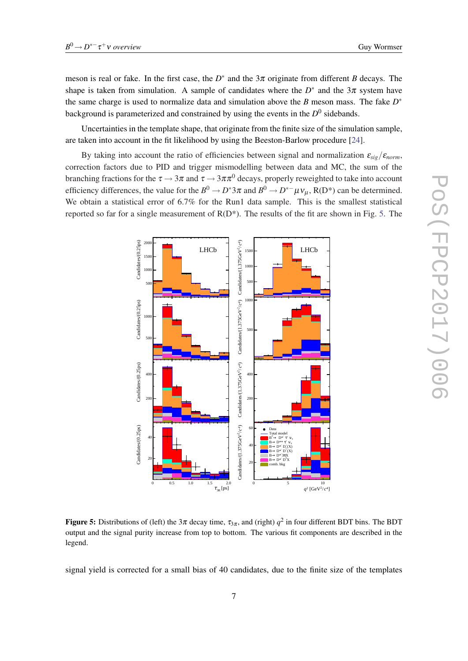Uncertainties in the template shape, that originate from the finite size of the simulation sample, are taken into account in the fit likelihood by using the Beeston-Barlow procedure [\[24](#page-12-0)].

By taking into account the ratio of efficiencies between signal and normalization  $\varepsilon_{sig}/\varepsilon_{norm}$ , correction factors due to PID and trigger mismodelling between data and MC, the sum of the branching fractions for the  $\tau \to 3\pi$  and  $\tau \to 3\pi \pi^0$  decays, properly reweighted to take into account efficiency differences, the value for the  $B^0 \to D^*3\pi$  and  $B^0 \to D^{*-}\mu\nu_\mu$ , R(D<sup>\*</sup>) can be determined. We obtain a statistical error of 6.7% for the Run1 data sample. This is the smallest statistical reported so far for a single measurement of  $R(D^*)$ . The results of the fit are shown in Fig. 5. The



Figure 5: Distributions of (left) the  $3\pi$  decay time,  $\tau_{3\pi}$ , and (right)  $q^2$  in four different BDT bins. The BDT output and the signal purity increase from top to bottom. The various fit components are described in the legend.

signal yield is corrected for a small bias of 40 candidates, due to the finite size of the templates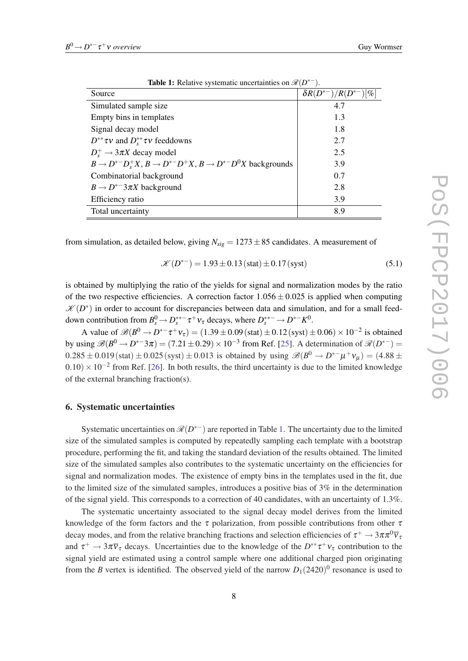| <b>THERE</b> Is recently a following anothermines on $\partial v_i D$              |                                                    |
|------------------------------------------------------------------------------------|----------------------------------------------------|
| Source                                                                             | $\delta R(D^{*-})/R(D^{*-})$<br>$\lceil \% \rceil$ |
| Simulated sample size                                                              | 4.7                                                |
| Empty bins in templates                                                            | 1.3                                                |
| Signal decay model                                                                 | 1.8                                                |
| $D^{**}\tau v$ and $D_s^{**}\tau v$ feeddowns                                      | 2.7                                                |
| $D_{s}^{+} \rightarrow 3\pi X$ decay model                                         | 2.5                                                |
| $B \to D^{*-}D_{s}^{+}X$ , $B \to D^{*-}D^{+}X$ , $B \to D^{*-}D^{0}X$ backgrounds | 3.9                                                |
| Combinatorial background                                                           | 0.7                                                |
| $B \rightarrow D^{*-}3\pi X$ background                                            | 2.8                                                |
| Efficiency ratio                                                                   | 3.9                                                |
| Total uncertainty                                                                  | 8.9                                                |

Table 1: Relative systematic uncertainties on  $\mathcal{R}(D^{*-})$ .

from simulation, as detailed below, giving  $N_{sig} = 1273 \pm 85$  candidates. A measurement of

$$
\mathcal{K}(D^{*-}) = 1.93 \pm 0.13 \, (\text{stat}) \pm 0.17 \, (\text{syst}) \tag{5.1}
$$

is obtained by multiplying the ratio of the yields for signal and normalization modes by the ratio of the two respective efficiencies. A correction factor  $1.056 \pm 0.025$  is applied when computing  $\mathscr{K}(D^*)$  in order to account for discrepancies between data and simulation, and for a small feeddown contribution from  $B_s^0 \to D_s^{**-} \tau^+ \nu_{\tau}$  decays, where  $D_s^{**-} \to D^{*-} K^0$ .

A value of  $\mathcal{B}(B^0 \to D^{*-}\tau^+\nu_{\tau}) = (1.39 \pm 0.09 \text{(stat)} \pm 0.12 \text{(syst)} \pm 0.06) \times 10^{-2} \text{ is obtained}$ by using  $\mathscr{B}(B^0 \to D^{*-3}\pi) = (7.21 \pm 0.29) \times 10^{-3}$  from Ref. [\[25](#page-12-0)]. A determination of  $\mathscr{R}(D^{*-})$  $0.285 \pm 0.019$  (stat)  $\pm 0.025$  (syst)  $\pm 0.013$  is obtained by using  $\mathscr{B}(B^0 \to D^{*-} \mu^+ \nu_\mu) = (4.88 \pm 0.019)$  $(0.10) \times 10^{-2}$  from Ref. [\[26](#page-12-0)]. In both results, the third uncertainty is due to the limited knowledge of the external branching fraction(s).

#### 6. Systematic uncertainties

Systematic uncertainties on  $\mathcal{R}(D^{*-})$  are reported in Table 1. The uncertainty due to the limited size of the simulated samples is computed by repeatedly sampling each template with a bootstrap procedure, performing the fit, and taking the standard deviation of the results obtained. The limited size of the simulated samples also contributes to the systematic uncertainty on the efficiencies for signal and normalization modes. The existence of empty bins in the templates used in the fit, due to the limited size of the simulated samples, introduces a positive bias of 3% in the determination of the signal yield. This corresponds to a correction of 40 candidates, with an uncertainty of 1.3%.

The systematic uncertainty associated to the signal decay model derives from the limited knowledge of the form factors and the  $\tau$  polarization, from possible contributions from other  $\tau$ decay modes, and from the relative branching fractions and selection efficiencies of  $\tau^+ \to 3\pi\pi^0\overline{v}_t$ and  $\tau^+ \to 3\pi \overline{v}_\tau$  decays. Uncertainties due to the knowledge of the  $D^{**}\tau^+\nu_\tau$  contribution to the signal yield are estimated using a control sample where one additional charged pion originating from the *B* vertex is identified. The observed yield of the narrow  $D_1(2420)^0$  resonance is used to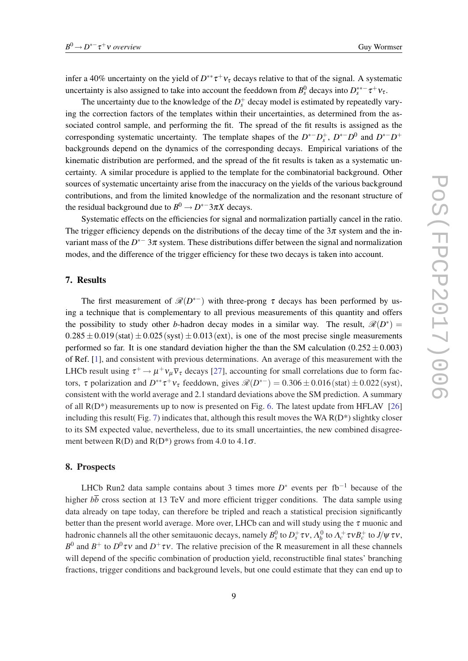infer a 40% uncertainty on the yield of  $D^{**}\tau^+\nu_{\tau}$  decays relative to that of the signal. A systematic uncertainty is also assigned to take into account the feeddown from  $B_s^0$  decays into  $D_s^{**-} \tau^+ \nu_{\tau}$ .

The uncertainty due to the knowledge of the  $D_s^+$  decay model is estimated by repeatedly varying the correction factors of the templates within their uncertainties, as determined from the associated control sample, and performing the fit. The spread of the fit results is assigned as the corresponding systematic uncertainty. The template shapes of the  $D^{*-}D_s^+$ ,  $D^{*-}D^0$  and  $D^{*-}D^+$ backgrounds depend on the dynamics of the corresponding decays. Empirical variations of the kinematic distribution are performed, and the spread of the fit results is taken as a systematic uncertainty. A similar procedure is applied to the template for the combinatorial background. Other sources of systematic uncertainty arise from the inaccuracy on the yields of the various background contributions, and from the limited knowledge of the normalization and the resonant structure of the residual background due to  $B^0 \to D^{*-}3\pi X$  decays.

Systematic effects on the efficiencies for signal and normalization partially cancel in the ratio. The trigger efficiency depends on the distributions of the decay time of the  $3\pi$  system and the invariant mass of the *D* ∗− 3π system. These distributions differ between the signal and normalization modes, and the difference of the trigger efficiency for these two decays is taken into account.

# 7. Results

The first measurement of  $\mathcal{R}(D^{*-})$  with three-prong  $\tau$  decays has been performed by using a technique that is complementary to all previous measurements of this quantity and offers the possibility to study other *b*-hadron decay modes in a similar way. The result,  $\mathcal{R}(D^*)$  =  $0.285 \pm 0.019$  (stat)  $\pm 0.025$  (syst)  $\pm 0.013$  (ext), is one of the most precise single measurements performed so far. It is one standard deviation higher the than the SM calculation  $(0.252 \pm 0.003)$ of Ref. [\[1\]](#page-11-0), and consistent with previous determinations. An average of this measurement with the LHCb result using  $\tau^+ \to \mu^+ \nu_\mu \overline{\nu}_\tau$  decays [[27\]](#page-12-0), accounting for small correlations due to form factors,  $\tau$  polarization and  $D^{**}\tau^+\nu_{\tau}$  feeddown, gives  $\mathcal{R}(D^{*-}) = 0.306 \pm 0.016$  (stat)  $\pm 0.022$  (syst), consistent with the world average and 2.1 standard deviations above the SM prediction. A summary of all R(D\*) measurements up to now is presented on Fig. [6](#page-10-0). The latest update from HFLAV [\[26](#page-12-0)] including this result (Fig. [7\)](#page-10-0) indicates that, although this result moves the WA  $R(D^*)$  slightky closer to its SM expected value, nevertheless, due to its small uncertainties, the new combined disagreement between  $R(D)$  and  $R(D^*)$  grows from 4.0 to 4.1 $\sigma$ .

# 8. Prospects

LHCb Run2 data sample contains about 3 times more  $D^*$  events per fb<sup>-1</sup> because of the higher  $b\overline{b}$  cross section at 13 TeV and more efficient trigger conditions. The data sample using data already on tape today, can therefore be tripled and reach a statistical precision significantly better than the present world average. More over, LHCb can and will study using the  $\tau$  muonic and hadronic channels all the other semitauonic decays, namely  $B_s^0$  to  $D_s^+\tau v$ ,  $\Lambda_b^0$  to  $\Lambda_c^+\tau v B_c^+$  to J/ $\psi\,\tau v$ , *B*<sup>0</sup> and *B*<sup>+</sup> to *D*<sup>0</sup>*τv* and *D*<sup>+</sup>*τv*. The relative precision of the R measurement in all these channels will depend of the specific combination of production yield, reconstructible final states' branching fractions, trigger conditions and background levels, but one could estimate that they can end up to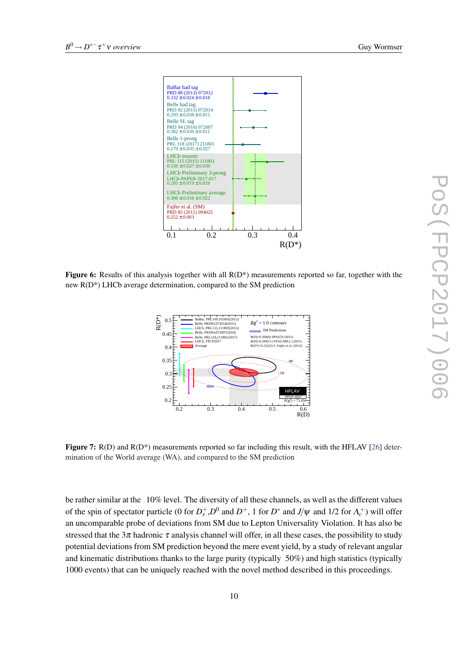<span id="page-10-0"></span>

**Figure 6:** Results of this analysis together with all  $R(D^*)$  measurements reported so far, together with the new R(D\*) LHCb average determination, compared to the SM prediction



**Figure 7:** R(D) and  $R(D^*)$  measurements reported so far including this result, with the HFLAV [[26\]](#page-12-0) determination of the World average (WA), and compared to the SM prediction

be rather similar at the 10% level. The diversity of all these channels, as well as the different values of the spin of spectator particle (0 for  $D_s^+$ ,  $D^0$  and  $D^+$ , 1 for  $D^*$  and  $J/\psi$  and 1/2 for  $\Lambda_c^+$ ) will offer an uncomparable probe of deviations from SM due to Lepton Universality Violation. It has also be stressed that the  $3\pi$  hadronic  $\tau$  analysis channel will offer, in all these cases, the possibility to study potential deviations from SM prediction beyond the mere event yield, by a study of relevant angular and kinematic distributions thanks to the large purity (typically 50%) and high statistics (typically 1000 events) that can be uniquely reached with the novel method described in this proceedings.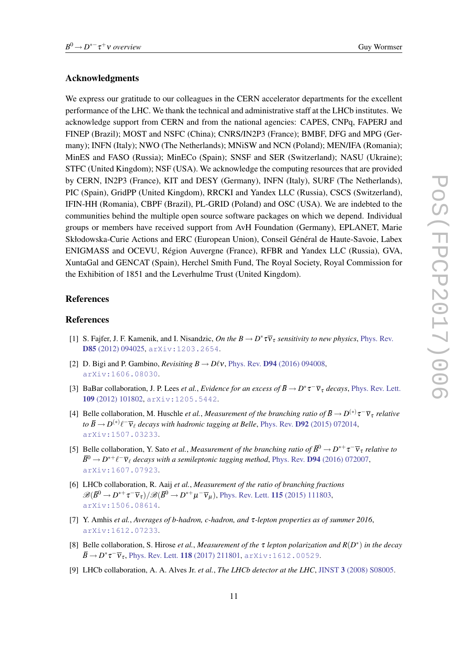#### <span id="page-11-0"></span>Acknowledgments

We express our gratitude to our colleagues in the CERN accelerator departments for the excellent performance of the LHC. We thank the technical and administrative staff at the LHCb institutes. We acknowledge support from CERN and from the national agencies: CAPES, CNPq, FAPERJ and FINEP (Brazil); MOST and NSFC (China); CNRS/IN2P3 (France); BMBF, DFG and MPG (Germany); INFN (Italy); NWO (The Netherlands); MNiSW and NCN (Poland); MEN/IFA (Romania); MinES and FASO (Russia); MinECo (Spain); SNSF and SER (Switzerland); NASU (Ukraine); STFC (United Kingdom); NSF (USA). We acknowledge the computing resources that are provided by CERN, IN2P3 (France), KIT and DESY (Germany), INFN (Italy), SURF (The Netherlands), PIC (Spain), GridPP (United Kingdom), RRCKI and Yandex LLC (Russia), CSCS (Switzerland), IFIN-HH (Romania), CBPF (Brazil), PL-GRID (Poland) and OSC (USA). We are indebted to the communities behind the multiple open source software packages on which we depend. Individual groups or members have received support from AvH Foundation (Germany), EPLANET, Marie Skłodowska-Curie Actions and ERC (European Union), Conseil Général de Haute-Savoie, Labex ENIGMASS and OCEVU, Région Auvergne (France), RFBR and Yandex LLC (Russia), GVA, XuntaGal and GENCAT (Spain), Herchel Smith Fund, The Royal Society, Royal Commission for the Exhibition of 1851 and the Leverhulme Trust (United Kingdom).

#### References

#### References

- [1] S. Fajfer, J. F. Kamenik, and I. Nisandzic, *On the B*  $\rightarrow$  *D*<sup>\*</sup> $\tau \overline{v}_\tau$  *sensitivity to new physics*, [Phys. Rev.](http://dx.doi.org/10.1103/PhysRevD.85.094025) D85 [\(2012\) 094025,](http://dx.doi.org/10.1103/PhysRevD.85.094025) [arXiv:1203.2654](http://arxiv.org/abs/1203.2654).
- [2] D. Bigi and P. Gambino, *Revisiting B*  $\rightarrow$  *Dlv*, Phys. Rev. **D94** [\(2016\) 094008,](http://dx.doi.org/10.1103/PhysRevD.94.094008) [arXiv:1606.08030](http://arxiv.org/abs/1606.08030).
- [3] BaBar collaboration, J. P. Lees *et al., Evidence for an excess of*  $\bar{B} \to D^* \tau^- \bar{\nu}_{\tau}$  *decays*, [Phys. Rev. Lett.](http://dx.doi.org/10.1103/PhysRevLett.109.101802) 109 [\(2012\) 101802,](http://dx.doi.org/10.1103/PhysRevLett.109.101802) [arXiv:1205.5442](http://arxiv.org/abs/1205.5442).
- [4] Belle collaboration, M. Huschle *et al., Measurement of the branching ratio of*  $\bar{B} \to D^{(*)}\tau^-\overline{v}_{\tau}$  *relative to*  $\bar{B}$   $\rightarrow$  *D*<sup>(\*)</sup> $\ell$ <sup>-</sup> $\bar{\nu}_{\ell}$  *decays with hadronic tagging at Belle*, Phys. Rev. **D92** [\(2015\) 072014](http://dx.doi.org/10.1103/PhysRevD.92.072014), [arXiv:1507.03233](http://arxiv.org/abs/1507.03233).
- [5] Belle collaboration, Y. Sato *et al., Measurement of the branching ratio of*  $\bar{B}^0 \to D^{*+}\tau^-\overline{v}_{\tau}$  *relative to*  $\bar{B}^0 \to D^{*+}\ell^-\overline{\nu}_\ell$  decays with a semileptonic tagging method, Phys. Rev. **D94** [\(2016\) 072007](http://dx.doi.org/10.1103/PhysRevD.94.072007), [arXiv:1607.07923](http://arxiv.org/abs/1607.07923).
- [6] LHCb collaboration, R. Aaij *et al.*, *Measurement of the ratio of branching fractions*  $\mathscr{B}(\bar B^0\to D^{*+}\tau^-\overline{v}_\tau)/\mathscr{B}(\bar B^0\to D^{*+}\mu^-\overline{v}_\mu)$ , [Phys. Rev. Lett.](http://dx.doi.org/10.1103/PhysRevLett.115.111803) **115** (2015) 111803, [arXiv:1506.08614](http://arxiv.org/abs/1506.08614).
- [7] Y. Amhis *et al.*, *Averages of b-hadron, c-hadron, and* τ*-lepton properties as of summer 2016*, [arXiv:1612.07233](http://arxiv.org/abs/1612.07233).
- [8] Belle collaboration, S. Hirose *et al.*, *Measurement of the* τ *lepton polarization and R*(*D* ∗ ) *in the decay*  $\bar{B} \to D^* \tau^- \overline{v}_{\tau}$ , [Phys. Rev. Lett.](http://dx.doi.org/10.1103/PhysRevLett.118.211801) 118 (2017) 211801, [arXiv:1612.00529](http://arxiv.org/abs/1612.00529).
- [9] LHCb collaboration, A. A. Alves Jr. *et al.*, *The LHCb detector at the LHC*, JINST 3 [\(2008\) S08005.](http://dx.doi.org/10.1088/1748-0221/3/08/S08005)